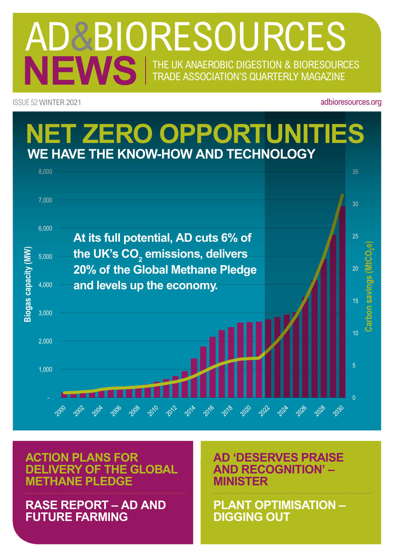## NEWS THE UK ANAEROBIC DIGESTION & BIORESOURCES TRADE ASSOCIATION'S Quarterly MAGAZINE AD&BIORESOURCES

Issue 52 Winter 2021

adbioresources.org



ww.adbioresources.com

**Action plans for delivery of the Global Methane Pledge** 

**RASE Report – AD and future farming**

**AD 'deserves praise and recognition' – Minister**

**PLANT OPTIMISATION – Digging Out**